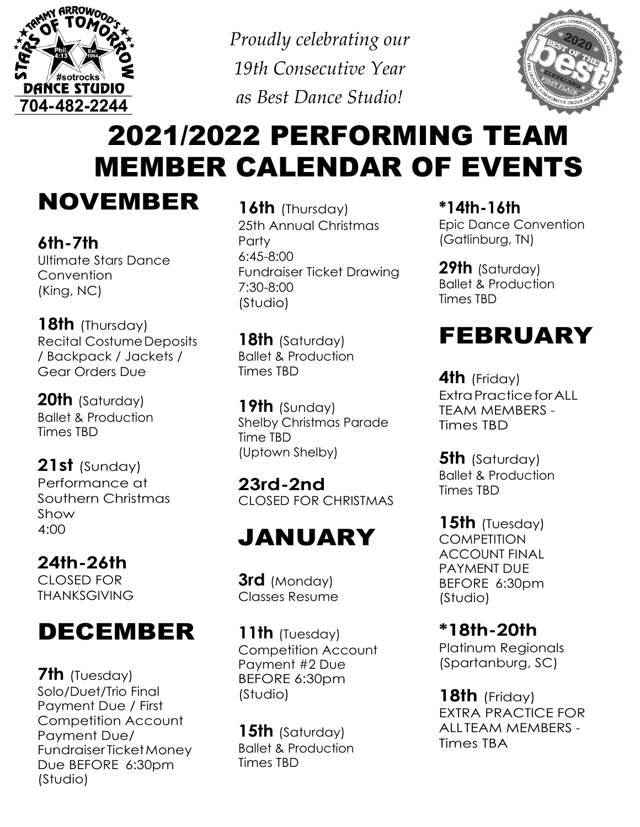

*Proudly celebrating our 19th Consecutive Year as Best Dance Studio!*



# 2021/2022 PERFORMING TEAM MEMBER CALENDAR OF EVENTS

NOVEMBER

**6th-7th** Ultimate Stars Dance **Convention** (King, NC)

**18th** (Thursday) Recital CostumeDeposits / Backpack / Jackets / Gear Orders Due

**20th** (Saturday) Ballet & Production Times TBD

**21st** (Sunday) Performance at Southern Christmas Show 4:00

**24th-26th** CLOSED FOR THANKSGIVING

### DECEMBER

**7th** (Tuesday) Solo/Duet/Trio Final Payment Due / First Competition Account Payment Due/ Fundraiser TicketMoney Due BEFORE 6:30pm (Studio)

**16th** (Thursday) 25th Annual Christmas **Party** 6:45-8:00 Fundraiser Ticket Drawing 7:30-8:00 (Studio)

**18th** (Saturday) Ballet & Production Times TBD

**19th** (Sunday) Shelby Christmas Parade Time TBD (Uptown Shelby)

**23rd-2nd** CLOSED FOR CHRISTMAS

### JANUARY

**3rd** (Monday) Classes Resume

**11th** (Tuesday) Competition Account Payment #2 Due BEFORE 6:30pm (Studio)

**15th** (Saturday) Ballet & Production Times TBD

**\*14th-16th**

Epic Dance Convention (Gatlinburg, TN)

**29th** (Saturday) Ballet & Production Times TBD

#### FEBRUARY

**4th** (Friday) ExtraPracticeforALL TEAM MEMBERS - Times TBD

**5th** (Saturday) Ballet & Production Times TBD

**15th** (Tuesday) **COMPETITION** ACCOUNT FINAL PAYMENT DUE BEFORE 6:30pm (Studio)

**\*18th-20th**

Platinum Regionals (Spartanburg, SC)

**18th** (Friday) EXTRA PRACTICE FOR ALLTEAM MEMBERS - Times TBA